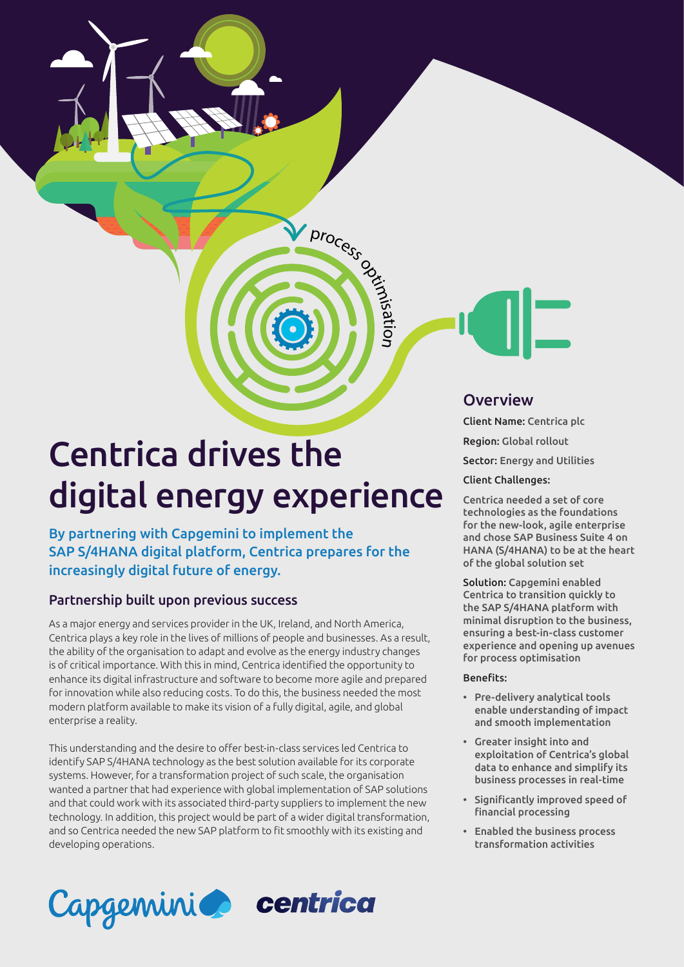# Centrica drives the digital energy experience

process optimization

n

By partnering with Capgemini to implement the SAP S/4HANA digital platform, Centrica prepares for the increasingly digital future of energy.

# Partnership built upon previous success

As a major energy and services provider in the UK, Ireland, and North America, Centrica plays a key role in the lives of millions of people and businesses. As a result, the ability of the organisation to adapt and evolve as the energy industry changes is of critical importance. With this in mind, Centrica identified the opportunity to enhance its digital infrastructure and software to become more agile and prepared for innovation while also reducing costs. To do this, the business needed the most modern platform available to make its vision of a fully digital, agile, and global enterprise a reality.

This understanding and the desire to offer best-in-class services led Centrica to identify SAP S/4HANA technology as the best solution available for its corporate systems. However, for a transformation project of such scale, the organisation wanted a partner that had experience with global implementation of SAP solutions and that could work with its associated third-party suppliers to implement the new technology. In addition, this project would be part of a wider digital transformation, and so Centrica needed the new SAP platform to fit smoothly with its existing and developing operations.



## **Overview**

Client Name: Centrica plc

Region: Global rollout

Sector: Energy and Utilities

#### Client Challenges:

Centrica needed a set of core technologies as the foundations for the new-look, agile enterprise and chose SAP Business Suite 4 on HANA (S/4HANA) to be at the heart of the global solution set

Solution: Capgemini enabled Centrica to transition quickly to the SAP S/4HANA platform with minimal disruption to the business, ensuring a best-in-class customer experience and opening up avenues for process optimisation

#### Benefits:

- Pre-delivery analytical tools enable understanding of impact and smooth implementation
- Greater insight into and exploitation of Centrica's global data to enhance and simplify its business processes in real-time
- Significantly improved speed of financial processing
- Enabled the business process transformation activities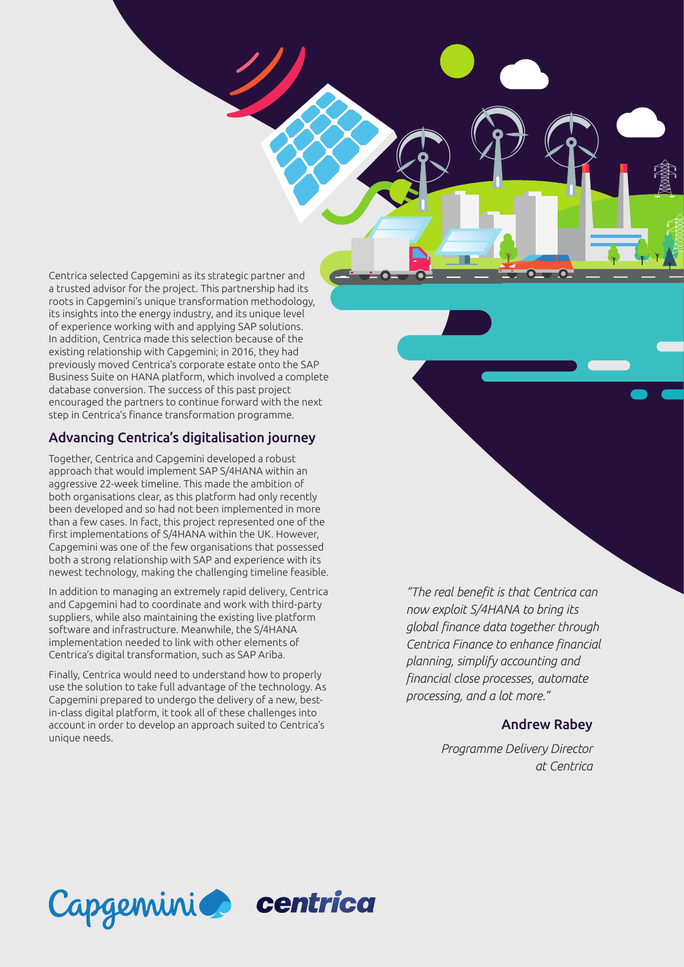Centrica selected Capgemini as its strategic partner and a trusted advisor for the project. This partnership had its roots in Capgemini's unique transformation methodology, its insights into the energy industry, and its unique level of experience working with and applying SAP solutions. In addition, Centrica made this selection because of the existing relationship with Capgemini; in 2016, they had previously moved Centrica's corporate estate onto the SAP Business Suite on HANA platform, which involved a complete database conversion. The success of this past project encouraged the partners to continue forward with the next step in Centrica's finance transformation programme.

#### Advancing Centrica's digitalisation journey

Together, Centrica and Capgemini developed a robust approach that would implement SAP S/4HANA within an aggressive 22-week timeline. This made the ambition of both organisations clear, as this platform had only recently been developed and so had not been implemented in more than a few cases. In fact, this project represented one of the first implementations of S/4HANA within the UK. However, Capgemini was one of the few organisations that possessed both a strong relationship with SAP and experience with its newest technology, making the challenging timeline feasible.

In addition to managing an extremely rapid delivery, Centrica and Capgemini had to coordinate and work with third-party suppliers, while also maintaining the existing live platform software and infrastructure. Meanwhile, the S/4HANA implementation needed to link with other elements of Centrica's digital transformation, such as SAP Ariba.

Finally, Centrica would need to understand how to properly use the solution to take full advantage of the technology. As Capgemini prepared to undergo the delivery of a new, bestin-class digital platform, it took all of these challenges into account in order to develop an approach suited to Centrica's unique needs.

*"The real benefit is that Centrica can now exploit S/4HANA to bring its global finance data together through Centrica Finance to enhance financial planning, simplify accounting and financial close processes, automate processing, and a lot more."*

#### Andrew Rabey

*Programme Delivery Director at Centrica*

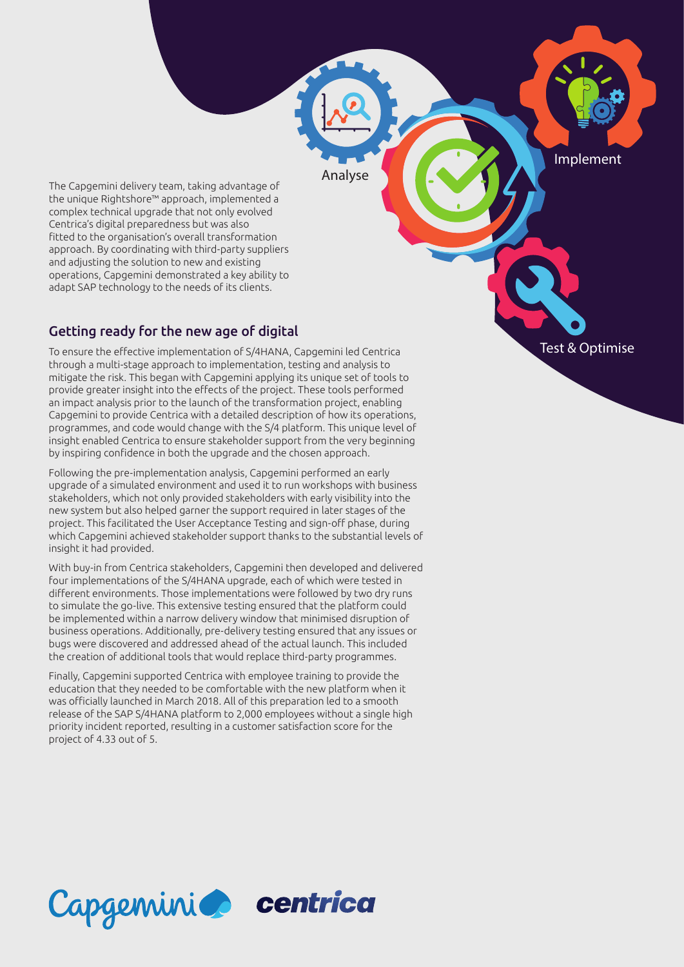Implement

The Capgemini delivery team, taking advantage of the unique Rightshore™ approach, implemented a complex technical upgrade that not only evolved Centrica's digital preparedness but was also fitted to the organisation's overall transformation approach. By coordinating with third-party suppliers and adjusting the solution to new and existing operations, Capgemini demonstrated a key ability to adapt SAP technology to the needs of its clients.

## Getting ready for the new age of digital

To ensure the effective implementation of S/4HANA, Capgemini led Centrica through a multi-stage approach to implementation, testing and analysis to mitigate the risk. This began with Capgemini applying its unique set of tools to provide greater insight into the effects of the project. These tools performed an impact analysis prior to the launch of the transformation project, enabling Capgemini to provide Centrica with a detailed description of how its operations, programmes, and code would change with the S/4 platform. This unique level of insight enabled Centrica to ensure stakeholder support from the very beginning by inspiring confidence in both the upgrade and the chosen approach.

Analyse

Following the pre-implementation analysis, Capgemini performed an early upgrade of a simulated environment and used it to run workshops with business stakeholders, which not only provided stakeholders with early visibility into the new system but also helped garner the support required in later stages of the project. This facilitated the User Acceptance Testing and sign-off phase, during which Capgemini achieved stakeholder support thanks to the substantial levels of insight it had provided.

With buy-in from Centrica stakeholders, Capgemini then developed and delivered four implementations of the S/4HANA upgrade, each of which were tested in different environments. Those implementations were followed by two dry runs to simulate the go-live. This extensive testing ensured that the platform could be implemented within a narrow delivery window that minimised disruption of business operations. Additionally, pre-delivery testing ensured that any issues or bugs were discovered and addressed ahead of the actual launch. This included the creation of additional tools that would replace third-party programmes.

Finally, Capgemini supported Centrica with employee training to provide the education that they needed to be comfortable with the new platform when it was officially launched in March 2018. All of this preparation led to a smooth release of the SAP S/4HANA platform to 2,000 employees without a single high priority incident reported, resulting in a customer satisfaction score for the project of 4.33 out of 5.

Capgemini centrica

# Test & Optimise